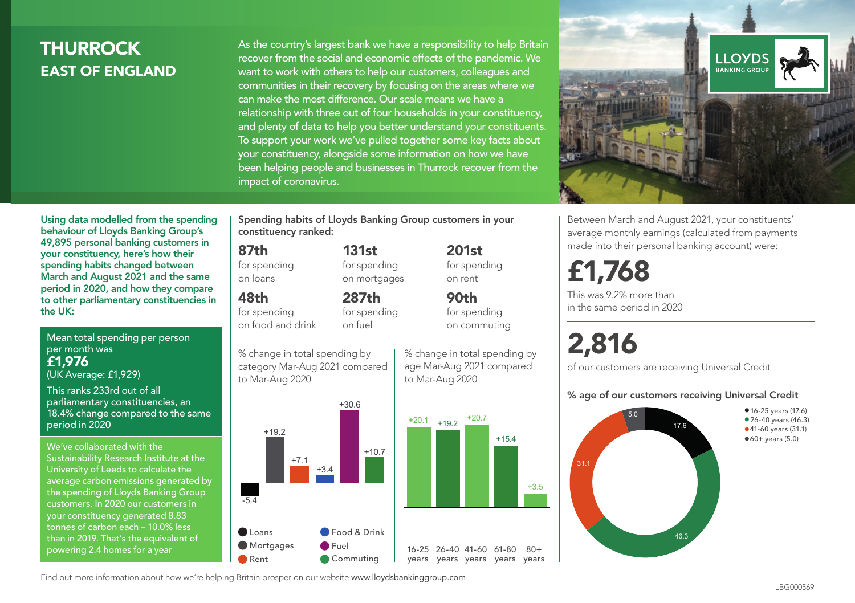## THURROCK EAST OF ENGLAND

As the country's largest bank we have a responsibility to help Britain recover from the social and economic effects of the pandemic. We want to work with others to help our customers, colleagues and communities in their recovery by focusing on the areas where we can make the most difference. Our scale means we have a relationship with three out of four households in your constituency, and plenty of data to help you better understand your constituents. To support your work we've pulled together some key facts about your constituency, alongside some information on how we have been helping people and businesses in Thurrock recover from the impact of coronavirus.



Between March and August 2021, your constituents' average monthly earnings (calculated from payments made into their personal banking account) were:

## £1,768

This was 9.2% more than in the same period in 2020

# 2,816

of our customers are receiving Universal Credit

#### % age of our customers receiving Universal Credit



Using data modelled from the spending behaviour of Lloyds Banking Group's 49,895 personal banking customers in your constituency, here's how their 87th for spending

## 48th

for spending on food and drink

% change in total spending by category Mar-Aug 2021 compared to Mar-Aug 2020



% change in total spending by age Mar-Aug 2021 compared to Mar-Aug 2020

Mean total spending per person per month was spending habits changed between March and August 2021 and the same period in 2020, and how they compare to other parliamentary constituencies in the UK:

£1,976 (UK Average: £1,929)

This ranks 233rd out of all parliamentary constituencies, an 18.4% change compared to the same period in 2020

We've collaborated with the Sustainability Research Institute at the University of Leeds to calculate the average carbon emissions generated by the spending of Lloyds Banking Group customers. In 2020 our customers in your constituency generated 8.83 tonnes of carbon each – 10.0% less than in 2019. That's the equivalent of powering 2.4 homes for a year

Spending habits of Lloyds Banking Group customers in your constituency ranked:

> 131st for spending on mortgages

on loans

287th for spending on fuel

on rent 90th for spending on commuting

201st for spending

 $+15.4$ 

+3.5

 $80+$